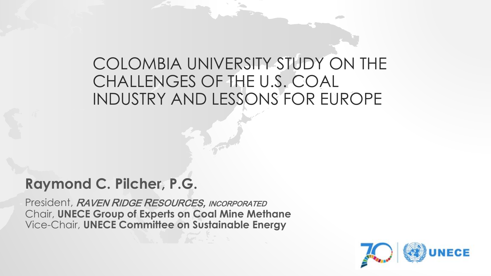### COLOMBIA UNIVERSITY STUDY ON THE CHALLENGES OF THE U.S. COAL INDUSTRY AND LESSONS FOR EUROPE

### **Raymond C. Pilcher, P.G.**

President, RAVEN RIDGE RESOURCES, INCORPORATED Chair, **UNECE Group of Experts on Coal Mine Methane** Vice-Chair, **UNECE Committee on Sustainable Energy**

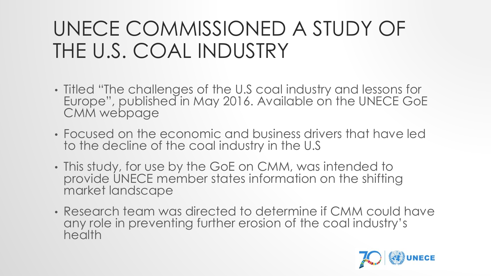## UNECE COMMISSIONED A STUDY OF THE U.S. COAL INDUSTRY

- Titled "The challenges of the U.S coal industry and lessons for Europe", published in May 2016. Available on the UNECE GoE CMM webpage
- Focused on the economic and business drivers that have led to the decline of the coal industry in the U.S
- This study, for use by the GoE on CMM, was intended to provide UNECE member states information on the shifting market landscape
- Research team was directed to determine if CMM could have any role in preventing further erosion of the coal industry's health

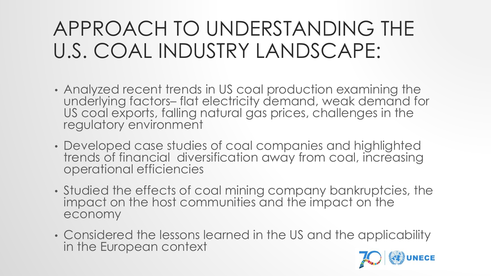## APPROACH TO UNDERSTANDING THE U.S. COAL INDUSTRY LANDSCAPE:

- Analyzed recent trends in US coal production examining the underlying factors– flat electricity demand, weak demand for US coal exports, falling natural gas prices, challenges in the regulatory environment
- Developed case studies of coal companies and highlighted trends of financial diversification away from coal, increasing operational efficiencies
- Studied the effects of coal mining company bankruptcies, the impact on the host communities and the impact on the economy
- Considered the lessons learned in the US and the applicability in the European context

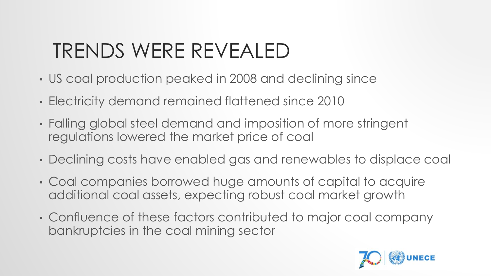## TRENDS WERE REVEALED

- US coal production peaked in 2008 and declining since
- Electricity demand remained flattened since 2010
- Falling global steel demand and imposition of more stringent regulations lowered the market price of coal
- Declining costs have enabled gas and renewables to displace coal
- Coal companies borrowed huge amounts of capital to acquire additional coal assets, expecting robust coal market growth
- Confluence of these factors contributed to major coal company bankruptcies in the coal mining sector

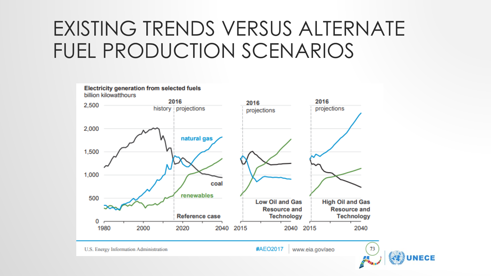## EXISTING TRENDS VERSUS ALTERNATE FUEL PRODUCTION SCENARIOS



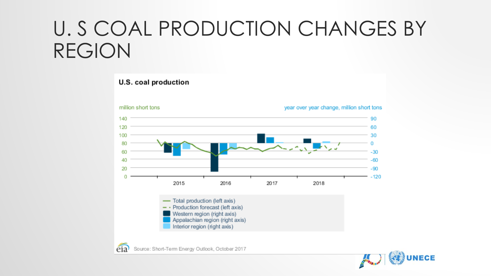## U. S COAL PRODUCTION CHANGES BY REGION

#### U.S. coal production



eia Source: Short-Term Energy Outlook, October 2017

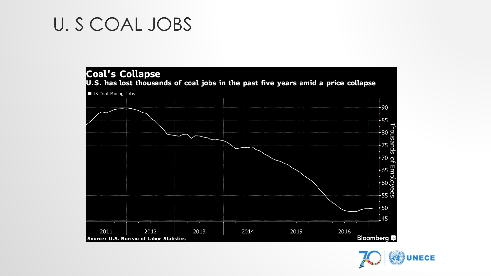## U. S COAL JOBS



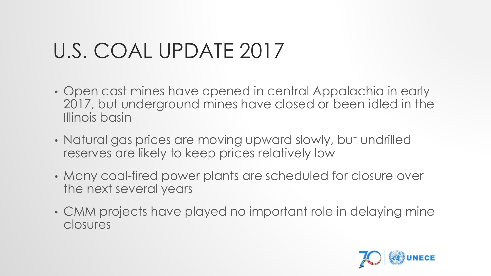# U.S. COAL UPDATE 2017

- Open cast mines have opened in central Appalachia in early 2017, but underground mines have closed or been idled in the Illinois basin
- Natural gas prices are moving upward slowly, but undrilled reserves are likely to keep prices relatively low
- Many coal-fired power plants are scheduled for closure over the next several years
- CMM projects have played no important role in delaying mine closures

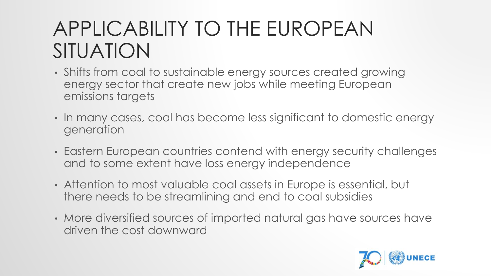## APPLICABILITY TO THE EUROPEAN SITUATION

- Shifts from coal to sustainable energy sources created growing energy sector that create new jobs while meeting European emissions targets
- In many cases, coal has become less significant to domestic energy generation
- Eastern European countries contend with energy security challenges and to some extent have loss energy independence
- Attention to most valuable coal assets in Europe is essential, but there needs to be streamlining and end to coal subsidies
- More diversified sources of imported natural gas have sources have driven the cost downward